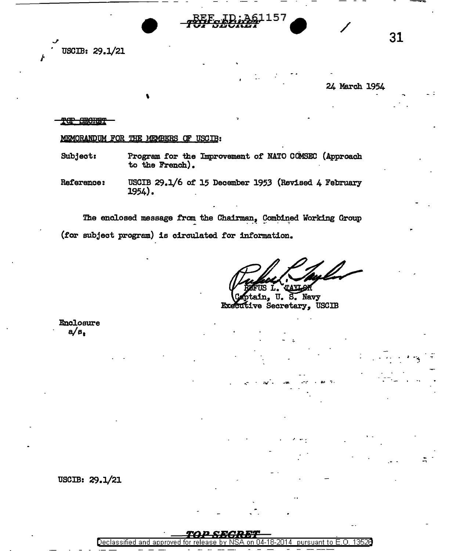

USCIB: 29.1/21

24 March 1954

31

## <del>TOP SECRET</del>

MEMORANDUM FOR THE MEMBERS OF USCIB:

- Program for the Improvement of NATO COMSEC (Approach Subject: to the French).
- USCIB 29.1/6 of 15 December 1953 (Revised 4 February Reference: 1954).

The enclosed message from the Chairman, Combined Working Group (for subject program) is circulated for information.

U. S. Navy in. ve Secretary, USCIB

**Enclosure**  $a/a$ 

USCIB: 29.1/21

Declassified and 04-18-2014 pursuant to E.O. 13526